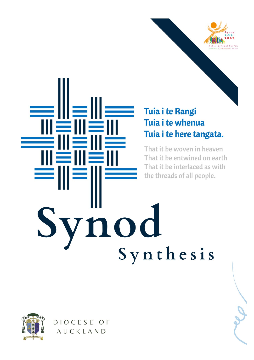

# Tuia i te Rangi Tuia i te whenua Tuia i te here tangata.

That it be woven in heaven That it be entwined on earth That it be interlaced as with the threads of all people.

ynod<br>Synthesis



DIOCESE OF AUCKLAND

川芎川芎

∥≦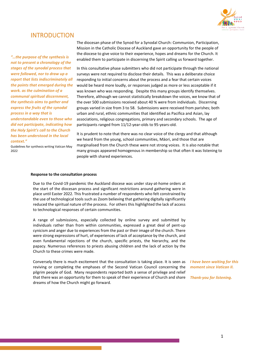

## INTRODUCTION

*"…the purpose of the synthesis is not to present a chronology of the stages of the synodal process that were followed, nor to draw up a report that lists indiscriminately all the points that emerged during the work. as the culmination of a communal spiritual discernment, the synthesis aims to gather and express the fruits of the synodal process in a way that is understandable even to those who did not participate, indicating how the Holy Spirit's call to the Church has been understood in the local context."*

Guidelines for synthesis writing Vatican May  $2022$ 

The diocesan phase of the Synod for a Synodal Church: Communion, Participation, Mission in the Catholic Diocese of Auckland gave an opportunity for the people of the diocese to give voice to their experience, hopes and dreams for the Church. It enabled them to participate in discerning the Spirit calling us forward together.

In this consultative phase submitters who did not participate through the national surveys were not required to disclose their details. This was a deliberate choice responding to initial concerns about the process and a fear that certain voices would be heard more loudly, or responses judged as more or less acceptable if it was known who was responding. Despite this many groups identify themselves. Therefore, although we cannot statistically breakdown the voices, we know that of the over 500 submissions received about 40 % were from individuals. Discerning groups varied in size from 3 to 58. Submissions were received from parishes; both urban and rural, ethnic communities that identified as Pacifica and Asian, lay associations, religious congregations, primary and secondary schools. The age of participants ranged from 11/12-year-olds to 95-years-old.

It is prudent to note that there was no clear voice of the clergy and that although we heard from the young, school communities, Māori, and those that are marginalised from the Church these were not strong voices. It is also notable that many groups appeared homogenous in membership so that often it was listening to people with shared experiences.

#### **Response to the consultation process**

Due to the Covid-19 pandemic the Auckland diocese was under stay-at-home orders at the start of the diocesan process and significant restrictions around gathering were in place until Easter 2022. This frustrated a number of respondents who felt constrained by the use of technological tools such as Zoom believing that gathering digitally significantly reduced the spiritual nature of the process. For others this highlighted the lack of access to technological responses of certain communities.

A range of submissions, especially collected by online survey and submitted by individuals rather than from within communities, expressed a great deal of pent-up cynicism and anger due to experiences from the past or their image of the church. There were strong expressions of hurt, of experiences of lack of acceptance by the church, and even fundamental rejections of the church, specific priests, the hierarchy, and the papacy. Numerous references to priests abusing children and the lack of action by the Church to these crimes were made.

Conversely there is much excitement that the consultation is taking place. It is seen as reviving or completing the emphases of the Second Vatican Council concerning the pilgrim people of God. Many respondents reported both a sense of privilege and relief that there was an opportunity for them to speak of their experience of Church and share dreams of how the Church might go forward.

*I have been waiting for this moment since Vatican II.*

*Thank-you for listening.*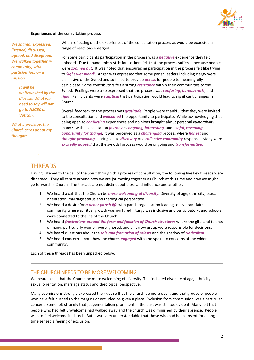

#### **Experiences of the consultation process**

*We shared, expressed, listened, discussed, agreed, and disagreed. We walked together in community, with participation, on a mission.* 

> *It will be whitewashed by the diocese. What we need to say will not go to NZCBC or Vatican.*

*What a privilege, the Church cares about my thoughts*

When reflecting on the experiences of the consultation process as would be expected a range of reactions emerged.

For some participants participation in the process was a *negative* experience they felt unheard. Due to pandemic restrictions others felt that the process suffered because people were *zoomed out*. It was noted that encouraging participation in the process felt like trying to *'light wet wood'*. Anger was expressed that some parish leaders including clergy were dismissive of the Synod and so failed to provide *access* for people to meaningfully participate. Some contributors felt a strong *resistance* within their communities to the Synod. Feelings were also expressed that the process was *confusing*, *bureaucratic*, and *rigid*. Participants were *sceptical* that participation would lead to significant changes in Church.

Overall feedback to the process was *gratitude.* People were thankful that they were invited to the consultation and *welcomed* the opportunity to participate. While acknowledging that being open to *conflicting* experiences and opinions brought about personal *vulnerability*  many saw the consultation *journey* as *ongoing, interesting,* and *useful*, *revealing opportunity for change.* It was perceived as a *challenging* process where *honest* and *thought-provoking* sharing led to *discovery* of a *collective community* response. Many were *excitedly hopeful* that the synodal process would be ongoing and *transformative.*

# **THREADS**

*.* 

Having listened to the call of the Spirit through this process of consultation, the following five key threads were discerned. They all centre around how we are journeying together as Church at this time and how we might go forward as Church. The threads are not distinct but cross and influence one another.

- 1. We heard a call that the Church be *more welcoming of diversity*. Diversity of age, ethnicity, sexual orientation, marriage status and theological perspective.
- 2. We heard a desire for *a richer parish life* with parish organisation leading to a vibrant faith community where spiritual growth was nurtured, liturgy was inclusive and participatory, and schools were connected to the life of the Church.
- 3. We heard *frustrations around the form and function of Church structures* where the gifts and talents of many, particularly women were ignored, and a narrow group were responsible for decisions.
- 4. We heard questions about the *role and formation of priests* and the shadow of *clericalism*.
- 5. We heard concerns about how the church *engaged* with and spoke to concerns of the wider community.

Each of these threads has been unpacked below.

#### THE CHURCH NEEDS TO BE MORE WELCOMING

We heard a call that the Church be more welcoming of diversity. This included diversity of age, ethnicity, sexual orientation, marriage status and theological perspective.

Many submissions strongly expressed their desire that the church be more open, and that groups of people who have felt pushed to the margins or excluded be given a place. Exclusion from communion was a particular concern. Some felt strongly that judgementalism prominent in the past was still too evident. Many felt that people who had felt unwelcome had walked away and the church was diminished by their absence. People wish to feel welcome in church. But it was very understandable that those who had been absent for a long time sensed a feeling of exclusion.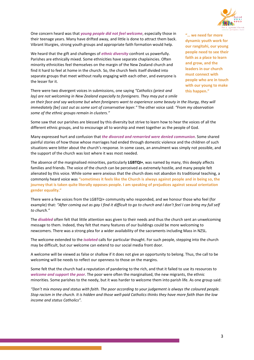

One concern heard was that *young people did not feel welcome*, especially those in their teenage years. Many have drifted away, and little is done to attract them back. Vibrant liturgies, strong youth groups and appropriate faith formation would help.

We heard that the gift and challenges of *ethnic diversity* confront us powerfully. Parishes are ethnically mixed. Some ethnicities have separate chaplaincies. Often minority ethnicities feel themselves on the margin of the New Zealand church and find it hard to feel at home in the church. So, the church feels itself divided into separate groups that meet without really engaging with each other, and everyone is the lesser for it.

**"… we need far more dynamic youth work for our rangitahi, our young people need to see their faith as a place to learn and grow, and the leaders in our church must connect with people who are in touch with our young to make this happen."**

There were two divergent voices in submissions, one saying *"Catholics (priest and lay)* are not welcoming in New Zealand especially to foreigners. They may put a smile *on their face and say welcome but when foreigners want to experience some beauty in the liturgy, they will* 

*immediately [be] cast out as some sort of conservative leper."* The other voice said: *"From my observation some of the ethnic groups remain in clusters."*

Some saw that our parishes are blessed by this diversity but strive to learn how to hear the voices of all the different ethnic groups, and to encourage all to worship and meet together as the people of God.

Many expressed hurt and confusion that *the divorced and remarried were denied communion*. Some shared painful stories of how those whose marriages had ended through domestic violence and the children of such situations were bitter about the church's response. In some cases, an annulment was simply not possible, and the support of the church was lost where it was most needed.

The absence of the marginalised minorities, particularly **LGBTQI+**, was named by many, this deeply affects families and friends. The voice of the church can be perceived as extremely hostile, and many people felt alienated by this voice. While some were anxious that the church does not abandon its traditional teaching, a commonly heard voice was **"sometimes it feels like the Church is always against people and in being so, the journey that is taken quite literally opposes people. I am speaking of prejudices against sexual orientation gender equality."**

There were a few voices from the LGBTQI+ community who responded, and we honour those who feel (for example) that: *"After coming out as gay I find it difficult to go to church and I don't feel I can bring my full self to church."*

The *disabled* often felt that little attention was given to their needs and thus the church sent an unwelcoming message to them. Indeed, they felt that many features of our buildings could be more welcoming to newcomers. There was a strong plea for a wider availability of the sacraments including Mass in NZSL.

The welcome extended to the *isolated* calls for particular thought. For such people, stepping into the church may be difficult, but our welcome can extend to our social media front door.

A welcome will be viewed as false or shallow if it does not give an opportunity to belong. Thus, the call to be welcoming will be needs to reflect our openness to those on the margins.

Some felt that the church had a reputation of pandering to the rich, and that it failed to use its resources to *welcome and support the poor*. The poor were often the marginalised, the new migrants, the ethnic minorities. Some parishes to the needy, but it was harder to welcome them into parish life. As one group said:

*"Don't mix money and status with faith. The poor according to your judgement is always the coloured people. Stop racism in the church. It is hidden and those well-paid Catholics thinks they have more faith than the low income and status Catholics".*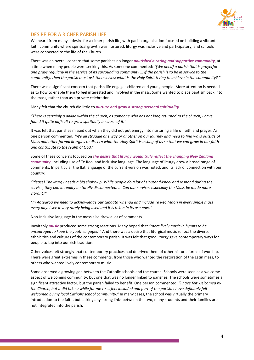

## DESIRE FOR A RICHER PARISH LIFE

We heard from many a desire for a richer parish life, with parish organisation focused on building a vibrant faith community where spiritual growth was nurtured, liturgy was inclusive and participatory, and schools were connected to the life of the Church.

There was an overall concern that some parishes no longer *nourished a caring and supportive community*, at a time when many people were seeking this. As someone commented: *"[We need] a parish that is prayerful and prays regularly in the service of its surrounding community … if the parish is to be in service to the community, then the parish must ask themselves: what is the Holy Spirit trying to achieve in the community? "* 

There was a significant concern that parish life engages children and young people. More attention is needed as to how to enable them to feel interested and involved in the mass. Some wanted to place baptism back into the mass, rather than as a private celebration.

Many felt that the church did little to *nurture and grow a strong personal spirituality*.

*"There is certainly a divide within the church, as someone who has not long returned to the church, I have found it quite difficult to grow spiritually because of it."*

It was felt that parishes missed out when they did not put energy into nurturing a life of faith and prayer. As one person commented, *"We all struggle one way or another on our journey and need to find ways outside of Mass and other formal liturgies to discern what the Holy Spirit is asking of us so that we can grow in our faith and contribute to the realm of God."*

Some of these concerns focused on *the desire that liturgy would truly reflect the changing New Zealand community*, including use of Te Reo, and inclusive language. The language of liturgy drew a broad range of comments. In particular the flat language of the current version was noted, and its lack of connection with our country:

*"Please! The liturgy needs a big shake-up. While people do a lot of sit-stand-kneel and respond during the service, they can in reality be totally disconnected. ... Can our services especially the Mass be made more vibrant?"*

*"In Aotearoa we need to acknowledge our tangata whenua and include Te Reo Māori in every single mass every day. I see it very rarely being used and it is token in its use now."*

Non-Inclusive language in the mass also drew a lot of comments.

Inevitably *music* produced some strong reactions. Many hoped that *"more lively music in hymns to be encouraged to keep the youth engaged."* And there was a desire that liturgical music reflect the diverse ethnicities and cultures of the contemporary parish. It was felt that good liturgy gave contemporary ways for people to tap into our rich tradition.

Other voices felt strongly that contemporary practices had deprived them of other historic forms of worship. There were great extremes in these comments, from those who wanted the restoration of the Latin mass, to others who wanted lively contemporary music.

Some observed a growing gap between the Catholic schools and the church. Schools were seen as a welcome aspect of welcoming community, but one that was no longer linked to parishes. The schools were sometimes a significant attractive factor, but the parish failed to benefit. One person commented: *"I have felt welcomed by the Church, but it did take a while for me to ... feel included and part of the parish. I have definitely felt welcomed by my local Catholic school community."* In many cases, the school was virtually the primary introduction to the faith, but lacking any strong links between the two, many students and their families are not integrated into the parish.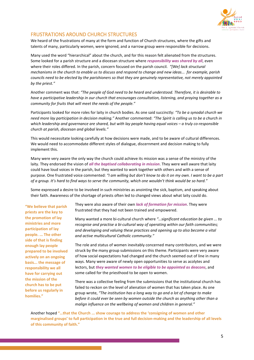

### FRUSTRATIONS AROUND CHURCH STRUCTURES

We heard of the frustrations of many at the form and function of Church structures, where the gifts and talents of many, particularly women, were ignored, and a narrow group were responsible for decisions.

Many used the word "hierarchical" about the church, and for this reason felt alienated from the structures. Some looked for a parish structure and a diocesan structure where *responsibility was shared by all*, even where their roles differed. In the parish, concern focused on the parish council. *"[We] lack structural mechanisms in the church to enable us to discuss and respond to change and new ideas... for example, parish councils need to be elected by the parishioners so that they are genuinely representative, not merely appointed by the priest."*

Another comment was that: *"The people of God need to be heard and understood. Therefore, it is desirable to have a participative leadership in our church that encourages consultation, listening, and praying together as a community for fruits that will meet the needs of the people."* 

Participants looked for more roles for laity in church bodies. As one said succinctly: *"To be a synodal church we need more lay participation in decision making."* Another commented: *"The Spirit is calling us to be a church in which leadership and governance are shared, but with lay people having equal voices – a truly co-responsible church at parish, diocesan and global levels."*

This would necessitate looking carefully at how decisions were made, and to be aware of cultural differences. We would need to accommodate different styles of dialogue, discernment and decision making to fully implement this.

Many were very aware the only way the church could achieve its mission was a sense of the ministry of the laity. They endorsed the vision of *all the baptised collaborating in mission*. They were well aware that laity could have loud voices in the parish, but they wanted to work together with others and with a sense of purpose. One frustrated voice commented: *"I am willing but don't know to do it on my own. I want to be a part of a group. It's hard to find ways to serve the community, which one wouldn't think would be so hard."*

Some expressed a desire to be involved in such ministries as anointing the sick, baptism, and speaking about their faith. Awareness of the shortage of priests often led to changed views about what laity could do.

**"We believe that parish priests are the key to the promotion of lay ministries and more participation of lay people. ... The other side of that is finding enough lay people prepared to be involved actively on an ongoing basis... the message of responsibility we all have for carrying out the mission of the church has to be put before us regularly in homilies."**

They were also aware of their own *lack of formation for mission*. They were frustrated that they had not been trained and empowered.

Many wanted a more bi-cultural church where *"…significant education be given ... to recognise and practise a bi-cultural way of operating within our faith communities; and developing and valuing these practices and opening up to also become a vital and active multicultural Catholic community."*

The role and status of women inevitably concerned many contributors, and we were struck by the many group submissions on this theme. Participants were very aware of how social expectations had changed and the church seemed out of line in many ways. Many were aware of newly open opportunities to serve as acolytes and lectors, but *they wanted women to be eligible to be appointed as deacons*, and some called for the priesthood to be open to women.

There was a collective feeling from the submissions that the institutional church has failed to reckon on the level of alienation of women that has taken place. As one group wrote, *"The institution has a long way to go and a lot of change to make before it could ever be seen by women outside the church as anything other than a malign influence on the wellbeing of women and children in general."*

Another hoped **"…that the Church ... show courage to address the 'consigning of women and other marginalised groups' to full participation in the true and full decision-making and the leadership of all levels of this community of faith."**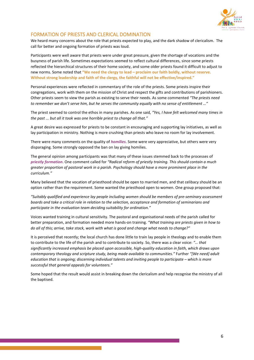

### FORMATION OF PRIESTS AND CLERICAL DOMINATION

We heard many concerns about the role that priests expected to play, and the dark shadow of clericalism. The call for better and ongoing formation of priests was loud.

Participants were well aware that priests were under great pressure, given the shortage of vocations and the busyness of parish life. Sometimes expectations seemed to reflect cultural differences, since some priests reflected the hierarchical structures of their home society, and some older priests found it difficult to adjust to new norms. Some noted that **"We need the clergy to lead – proclaim our faith boldly, without reserve. Without strong leadership and faith of the clergy, the faithful will not be effective/inspired."** 

Personal experiences were reflected in commentary of the role of the priests. Some priests inspire their congregations, work with them on the mission of Christ and respect the gifts and contributions of parishioners. Other priests seem to view the parish as existing to serve their needs. As some commented *"The priests need to remember we don't serve him, but he serves the community equally with no sense of entitlement …"*

The priest seemed to control the ethos in many parishes. As one said*, "Yes, I have felt welcomed many times in the past ... but all it took was one horrible priest to change all that."*

A great desire was expressed for priests to be constant in encouraging and supporting lay initiatives, as well as lay participation in ministry. Nothing is more crushing than priests who leave no room for lay involvement.

There were many comments on the quality of *homilies*. Some were very appreciative, but others were very disparaging. Some strongly opposed the ban on lay giving homilies.

The general opinion among participants was that many of these issues stemmed back to the processes of *priestly formation*. One comment called for *"Radical reform of priestly training. This should contain a much greater proportion of pastoral work in a parish. Psychology should have a more prominent place in the curriculum."*

Many believed that the vocation of priesthood should be open to married men, and that celibacy should be an option rather than the requirement. Some wanted the priesthood open to women. One group proposed that:

*"Suitably qualified and experience lay people including women should be members of pre-seminary assessment boards and take a critical role in relation to the selection, acceptance and formation of seminarians and participate in the evaluation team deciding suitability for ordination."*

Voices wanted training in cultural sensitivity. The pastoral and organisational needs of the parish called for better preparation, and formation needed more hands-on training. *"What training are priests given in how to do all of this; arrive, take stock, work with what is good and change what needs to change?"*

It is perceived that recently; the local church has done little to train lay people in theology and to enable them to contribute to the life of the parish and to contribute to society. So, there was a clear voice: *"… that significantly increased emphasis be placed upon accessible, high-quality education in faith, which draws upon contemporary theology and scripture study, being made available to communities."* Further *"[We need] adult education that is ongoing; discerning individual talents and inviting people to participate – which is more successful that general appeals for volunteers."*

Some hoped that the result would assist in breaking down the clericalism and help recognise the ministry of all the baptised.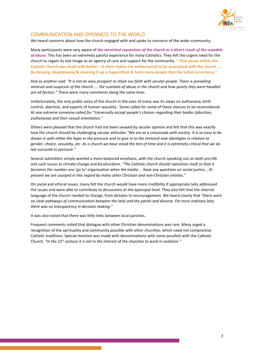

## COMMUNICATION AND OPENNESS TO THE WORLD

We heard concerns about how the church engaged with and spoke to concerns of the wider community.

Many participants were very aware of *the tarnished reputation of the church as a direct result of the scandals of abuse.* This has been an extremely painful experience for many Catholics. They felt the urgent need for the church to regain its lost image as an agency of care and support for the community. **" That abuse within the Catholic Church was dealt with better – it often makes me embarrassed to be associated with the church. ... By denying, downplaying & covering it up is hypocritical & hurts more people that the initial occurrence."**

And as another said: *"It is not an easy prospect to share our faith with secular people. There is prevailing mistrust and suspicion of the church. ... the scandals of abuse in the church and how poorly they were handled are all factors."* There were many comments along the same lines.

Unfortunately, the only public voice of the church in the eyes of many was its views on euthanasia, birth control, abortion, and aspects of human sexuality. Some called for some of these stances to be reconsidered. At one extreme someone called *for "Universally accept people's choices regarding their bodies (abortion, euthanasia) and their sexual orientation."*

Others were pleased that the church had not been swayed by secular opinion and felt that this was exactly how the church should be challenging secular attitudes *"We are at a crossroads with society. It is so easy to be drawn in with either the hype or the pressure and to give in to the immoral new ideologies in relation to gender, choice, sexuality, etc. As a church we have stood the test of time and it is extremely critical that we do not succumb to pressure."*

Several submitters simply wanted a more balanced emphasis, with the church speaking out on both pro-life and such issues as climate change and biculturalism. *"The Catholic church should reposition itself so that it becomes the number one 'go to' organisation when the media ... have any questions on social justice... At present we are usurped in this regard by many other Christian and non-Christian entities."*

On social and ethical issues, many felt the church would have more credibility if appropriate laity addressed the issues and were able to contribute to discussions at the episcopal level. They also felt that the internal language of the church needed to change, from dictates to encouragement. We heard clearly that *"there were no clear pathways of communication between the laity and the parish and diocese. For most ordinary laity there was no transparency in decision making."*

It was also noted that there was little links between local parishes.

Frequent comments noted that dialogue with other Christian denominations was rare. Many urged a recognition of the spirituality and community possible with other churches, which need not compromise Catholic traditions. Special mention was made with denominations with some parallels with the Catholic Church. *"In the 21st century it is not in the interest of the churches to work in isolation."*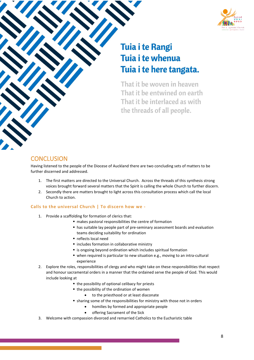

# **Tuia i te Rangi** Tuia i te whenua Tuia i te here tangata.

That it be woven in heaven That it be entwined on earth That it be interlaced as with the threads of all people.

# **CONCLUSION**

Having listened to the people of the Diocese of Auckland there are two concluding sets of matters to be further discerned and addressed.

- 1. The first matters are directed to the Universal Church. Across the threads of this synthesis strong voices brought forward several matters that the Spirit is calling the whole Church to further discern.
- 2. Secondly there are matters brought to light across this consultation process which call the local Church to action.

#### **Calls to the universal Church | To discern how we -**

- 1. Provide a scaffolding for formation of clerics that:
	- makes pastoral responsibilities the centre of formation
	- has suitable lay people part of pre-seminary assessment boards and evaluation teams deciding suitability for ordination
	- reflects local need
	- $\blacksquare$  includes formation in collaborative ministry
	- **E** is ongoing beyond ordination which includes spiritual formation
	- when required is particular to new situation e.g., moving to an intra-cultural experience
- 2. Explore the roles, responsibilities of clergy and who might take on these responsibilities that respect and honour sacramental orders in a manner that the ordained serve the people of God. This would include looking at
	- $\blacksquare$  the possibility of optional celibacy for priests
	- the possibility of the ordination of women
		- to the priesthood or at least diaconate
	- sharing some of the responsibilities for ministry with those not in orders
		- homilies by formed and appropriate people
		- offering Sacrament of the Sick
- 3. Welcome with compassion divorced and remarried Catholics to the Eucharistic table